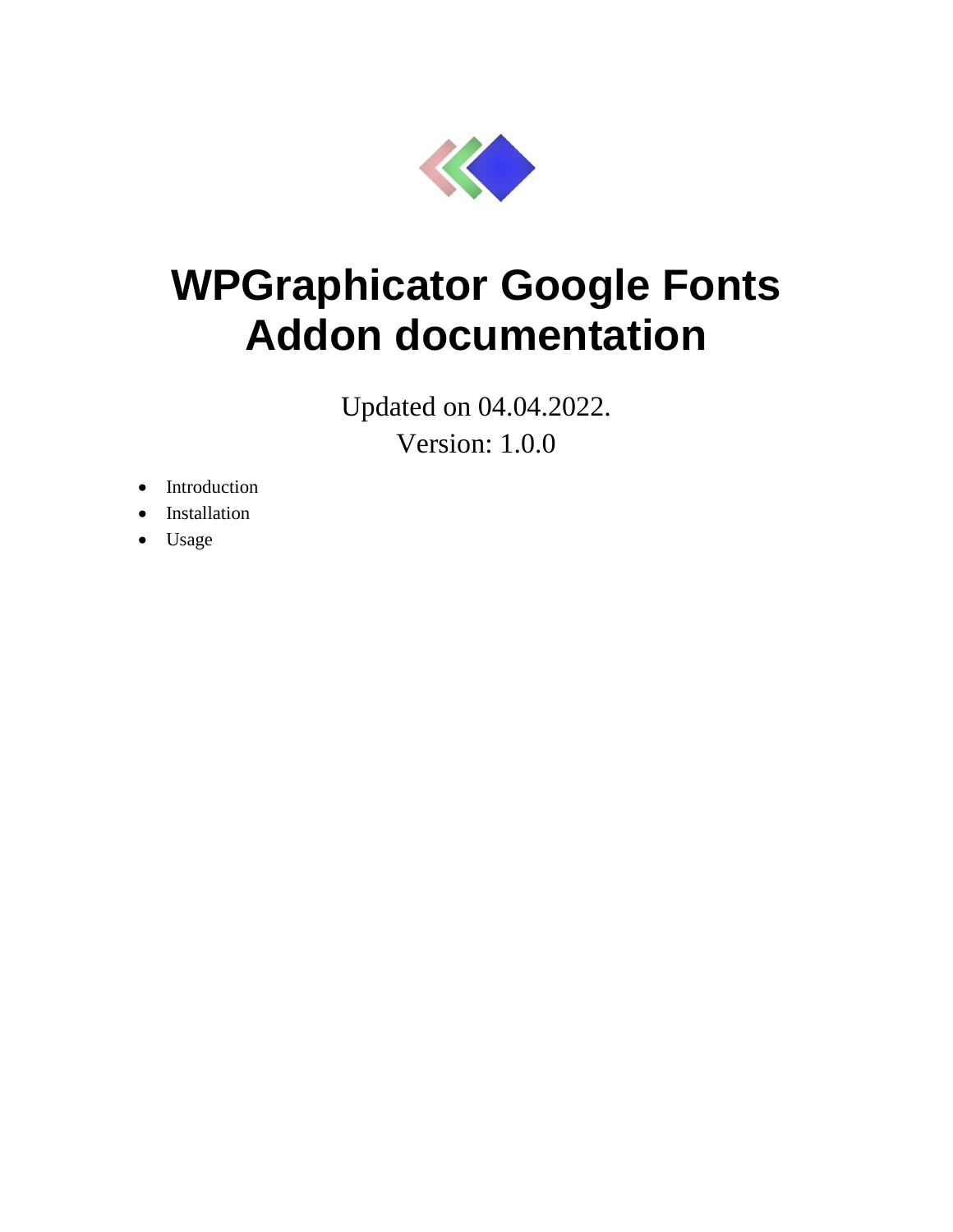

## **WPGraphicator Google Fonts Addon documentation**

Updated on 04.04.2022. Version: 1.0.0

- Introduction
- Installation
- Usage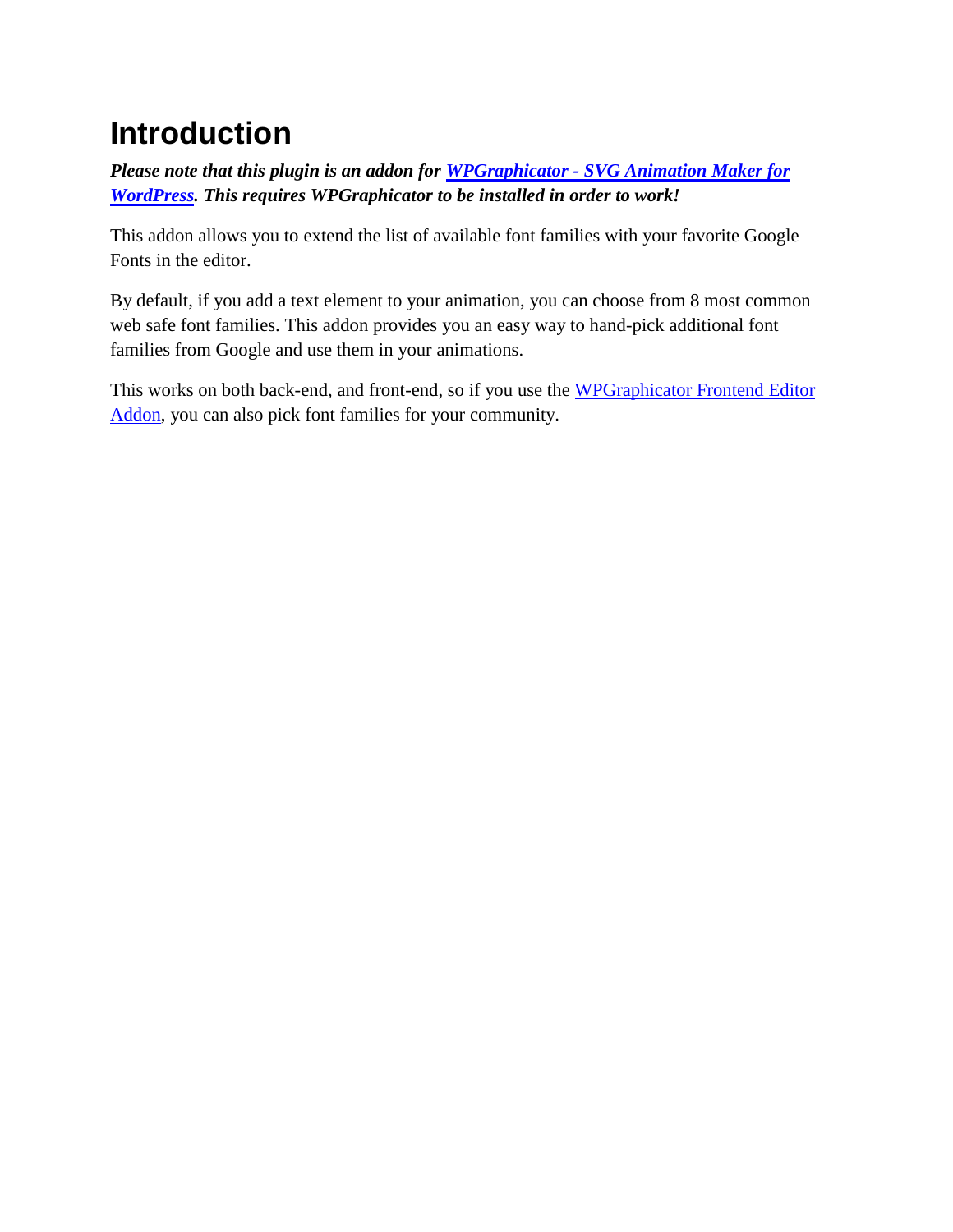## **Introduction**

*Please note that this plugin is an addon for WPGraphicator - [SVG Animation Maker for](https://codecanyon.net/item/wpgraphicator-svg-animation-maker-for-wordpress/31873754)  [WordPress.](https://codecanyon.net/item/wpgraphicator-svg-animation-maker-for-wordpress/31873754) This requires WPGraphicator to be installed in order to work!*

This addon allows you to extend the list of available font families with your favorite Google Fonts in the editor.

By default, if you add a text element to your animation, you can choose from 8 most common web safe font families. This addon provides you an easy way to hand-pick additional font families from Google and use them in your animations.

This works on both back-end, and front-end, so if you use the WPGraphicator Frontend Editor [Addon,](https://codecanyon.net/item/wpgraphicator-frontend-editor-addon/34937023) you can also pick font families for your community.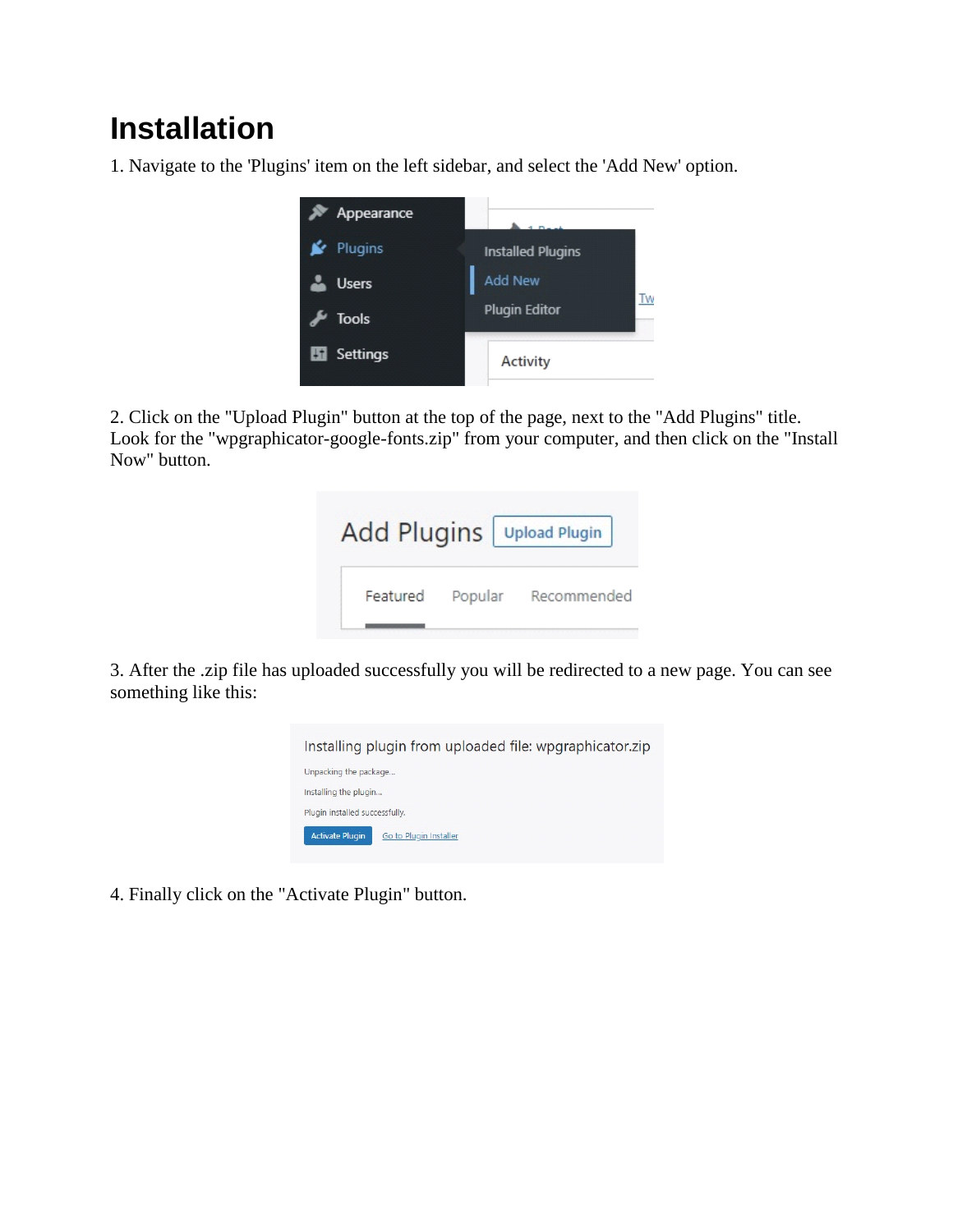## **Installation**

1. Navigate to the 'Plugins' item on the left sidebar, and select the 'Add New' option.



2. Click on the "Upload Plugin" button at the top of the page, next to the "Add Plugins" title. Look for the "wpgraphicator-google-fonts.zip" from your computer, and then click on the "Install" Now" button.

| Add Plugins   Upload Plugin |         |             |
|-----------------------------|---------|-------------|
| Featured                    | Popular | Recommended |

3. After the .zip file has uploaded successfully you will be redirected to a new page. You can see something like this:



4. Finally click on the "Activate Plugin" button.